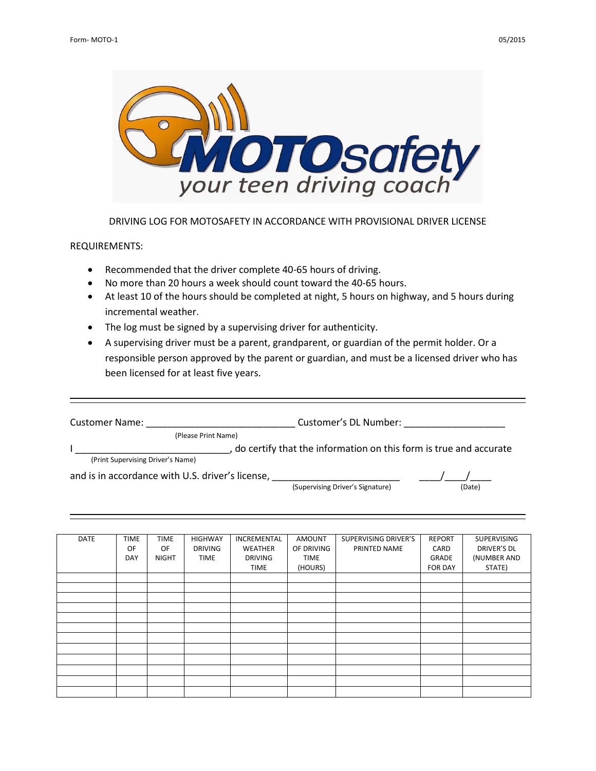



## DRIVING LOG FOR MOTOSAFETY IN ACCORDANCE WITH PROVISIONAL DRIVER LICENSE

## REQUIREMENTS:

- Recommended that the driver complete 40-65 hours of driving.
- No more than 20 hours a week should count toward the 40-65 hours.
- At least 10 of the hours should be completed at night, 5 hours on highway, and 5 hours during incremental weather.
- The log must be signed by a supervising driver for authenticity.
- A supervising driver must be a parent, grandparent, or guardian of the permit holder. Or a responsible person approved by the parent or guardian, and must be a licensed driver who has been licensed for at least five years.

| <b>Customer Name:</b>             |                                                  | Customer's DL Number:                                             |        |
|-----------------------------------|--------------------------------------------------|-------------------------------------------------------------------|--------|
|                                   | (Please Print Name)                              |                                                                   |        |
| (Print Supervising Driver's Name) |                                                  | do certify that the information on this form is true and accurate |        |
|                                   | and is in accordance with U.S. driver's license, | (Supervising Driver's Signature)                                  | (Date) |

| <b>DATE</b> | <b>TIME</b> | <b>TIME</b>  | <b>HIGHWAY</b> | INCREMENTAL    | AMOUNT      | SUPERVISING DRIVER'S | <b>REPORT</b>  | SUPERVISING |
|-------------|-------------|--------------|----------------|----------------|-------------|----------------------|----------------|-------------|
|             | OF          | OF           | <b>DRIVING</b> | WEATHER        | OF DRIVING  | PRINTED NAME         | CARD           | DRIVER'S DL |
|             | DAY         | <b>NIGHT</b> | <b>TIME</b>    | <b>DRIVING</b> | <b>TIME</b> |                      | GRADE          | (NUMBER AND |
|             |             |              |                | <b>TIME</b>    | (HOURS)     |                      | <b>FOR DAY</b> | STATE)      |
|             |             |              |                |                |             |                      |                |             |
|             |             |              |                |                |             |                      |                |             |
|             |             |              |                |                |             |                      |                |             |
|             |             |              |                |                |             |                      |                |             |
|             |             |              |                |                |             |                      |                |             |
|             |             |              |                |                |             |                      |                |             |
|             |             |              |                |                |             |                      |                |             |
|             |             |              |                |                |             |                      |                |             |
|             |             |              |                |                |             |                      |                |             |
|             |             |              |                |                |             |                      |                |             |
|             |             |              |                |                |             |                      |                |             |
|             |             |              |                |                |             |                      |                |             |